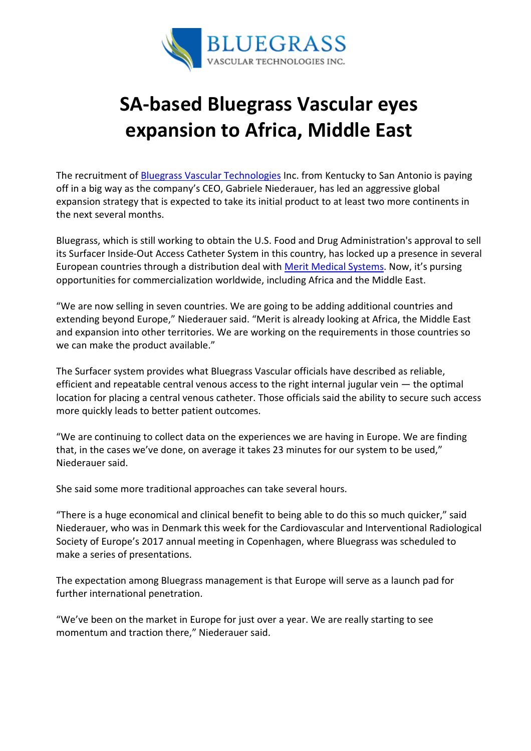

## SA-based Bluegrass Vascular eyes expansion to Africa, Middle East

The recruitment of **Bluegrass Vascular Technologies** Inc. from Kentucky to San Antonio is paying off in a big way as the company's CEO, Gabriele Niederauer, has led an aggressive global expansion strategy that is expected to take its initial product to at least two more continents in the next several months.

Bluegrass, which is still working to obtain the U.S. Food and Drug Administration's approval to sell its Surfacer Inside-Out Access Catheter System in this country, has locked up a presence in several European countries through a distribution deal with Merit Medical Systems. Now, it's pursing opportunities for commercialization worldwide, including Africa and the Middle East.

"We are now selling in seven countries. We are going to be adding additional countries and extending beyond Europe," Niederauer said. "Merit is already looking at Africa, the Middle East and expansion into other territories. We are working on the requirements in those countries so we can make the product available."

The Surfacer system provides what Bluegrass Vascular officials have described as reliable, efficient and repeatable central venous access to the right internal jugular vein — the optimal location for placing a central venous catheter. Those officials said the ability to secure such access more quickly leads to better patient outcomes.

"We are continuing to collect data on the experiences we are having in Europe. We are finding that, in the cases we've done, on average it takes 23 minutes for our system to be used," Niederauer said.

She said some more traditional approaches can take several hours.

"There is a huge economical and clinical benefit to being able to do this so much quicker," said Niederauer, who was in Denmark this week for the Cardiovascular and Interventional Radiological Society of Europe's 2017 annual meeting in Copenhagen, where Bluegrass was scheduled to make a series of presentations.

The expectation among Bluegrass management is that Europe will serve as a launch pad for further international penetration.

"We've been on the market in Europe for just over a year. We are really starting to see momentum and traction there," Niederauer said.